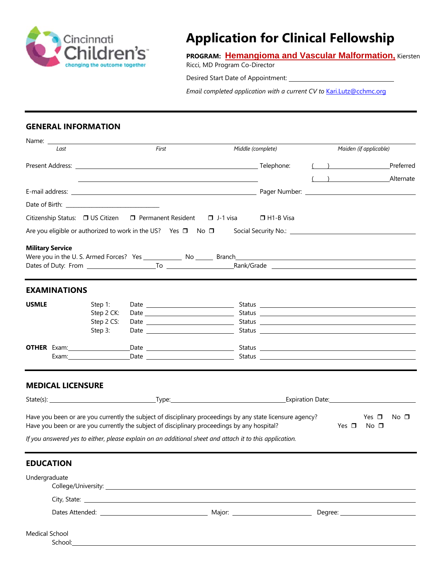

# **Application for Clinical Fellowship**

**PROGRAM: Hemangioma and Vascular Malformation,** Kiersten

Ricci, MD Program Co-Director

Desired Start Date of Appointment:

*Email completed application with a current CV to [Kari.Lutz@cchmc.org](mailto:Kari.Lutz@cchmc.org)* 

#### **GENERAL INFORMATION**

| Last                     |                                                                                                                                                                                                                                | First                                                                                                   | Middle (complete) |                  |                                                                                                                                                                                                                                | Maiden (if applicable)            |
|--------------------------|--------------------------------------------------------------------------------------------------------------------------------------------------------------------------------------------------------------------------------|---------------------------------------------------------------------------------------------------------|-------------------|------------------|--------------------------------------------------------------------------------------------------------------------------------------------------------------------------------------------------------------------------------|-----------------------------------|
|                          |                                                                                                                                                                                                                                |                                                                                                         |                   |                  | $\left(\begin{array}{c} \begin{array}{c} \end{array}\\ \end{array}\right)$                                                                                                                                                     | Preferred                         |
|                          |                                                                                                                                                                                                                                |                                                                                                         |                   |                  |                                                                                                                                                                                                                                | ( ) Alternate                     |
|                          |                                                                                                                                                                                                                                |                                                                                                         |                   |                  |                                                                                                                                                                                                                                |                                   |
|                          |                                                                                                                                                                                                                                |                                                                                                         |                   |                  |                                                                                                                                                                                                                                |                                   |
|                          | Citizenship Status: □ US Citizen □ Permanent Resident □ J-1 visa                                                                                                                                                               |                                                                                                         |                   | $\Box$ H1-B Visa |                                                                                                                                                                                                                                |                                   |
|                          | Are you eligible or authorized to work in the US? Yes $\Box$ No $\Box$                                                                                                                                                         |                                                                                                         |                   |                  |                                                                                                                                                                                                                                |                                   |
| <b>Military Service</b>  |                                                                                                                                                                                                                                |                                                                                                         |                   |                  |                                                                                                                                                                                                                                |                                   |
| <b>EXAMINATIONS</b>      |                                                                                                                                                                                                                                |                                                                                                         |                   |                  |                                                                                                                                                                                                                                |                                   |
| <b>USMLE</b>             | Step 1:                                                                                                                                                                                                                        |                                                                                                         |                   |                  |                                                                                                                                                                                                                                |                                   |
|                          | Step 2 CK:                                                                                                                                                                                                                     |                                                                                                         |                   |                  | Status and the status of the status of the status of the status of the status of the status of the status of the status of the status of the status of the status of the status of the status of the status of the status of t |                                   |
|                          | Step 2 CS:                                                                                                                                                                                                                     |                                                                                                         |                   |                  |                                                                                                                                                                                                                                |                                   |
|                          | Step 3:                                                                                                                                                                                                                        | Date $\frac{1}{\sqrt{1-\frac{1}{2}}}\left\{ \frac{1}{2}, \frac{1}{2}, \frac{1}{2}, \frac{1}{2}\right\}$ |                   |                  | Status and the status of the status of the status of the status of the status of the status of the status of the status of the status of the status of the status of the status of the status of the status of the status of t |                                   |
| <b>OTHER</b> Exam: 2007  |                                                                                                                                                                                                                                |                                                                                                         |                   |                  |                                                                                                                                                                                                                                |                                   |
|                          | Exam: Example of the state of the state of the state of the state of the state of the state of the state of the state of the state of the state of the state of the state of the state of the state of the state of the state  |                                                                                                         |                   |                  |                                                                                                                                                                                                                                |                                   |
| <b>MEDICAL LICENSURE</b> |                                                                                                                                                                                                                                |                                                                                                         |                   |                  |                                                                                                                                                                                                                                |                                   |
|                          | State(s): Expiration Date: Expiration Date:                                                                                                                                                                                    |                                                                                                         |                   |                  |                                                                                                                                                                                                                                |                                   |
|                          | Have you been or are you currently the subject of disciplinary proceedings by any state licensure agency?<br>Have you been or are you currently the subject of disciplinary proceedings by any hospital?                       |                                                                                                         |                   |                  | Yes $\Box$                                                                                                                                                                                                                     | Yes $\Box$<br>No □<br>$No$ $\Box$ |
|                          | If you answered yes to either, please explain on an additional sheet and attach it to this application.                                                                                                                        |                                                                                                         |                   |                  |                                                                                                                                                                                                                                |                                   |
| <b>EDUCATION</b>         |                                                                                                                                                                                                                                |                                                                                                         |                   |                  |                                                                                                                                                                                                                                |                                   |
| Undergraduate            |                                                                                                                                                                                                                                |                                                                                                         |                   |                  |                                                                                                                                                                                                                                |                                   |
|                          | City, State: contract to the contract of the contract of the contract of the contract of the contract of the contract of the contract of the contract of the contract of the contract of the contract of the contract of the c |                                                                                                         |                   |                  |                                                                                                                                                                                                                                |                                   |
|                          |                                                                                                                                                                                                                                |                                                                                                         |                   |                  |                                                                                                                                                                                                                                |                                   |
| <b>Medical School</b>    | School: Analysis and the second service of the service of the service of the service of the service of the service of the service of the service of the service of the service of the service of the service of the service of |                                                                                                         |                   |                  |                                                                                                                                                                                                                                |                                   |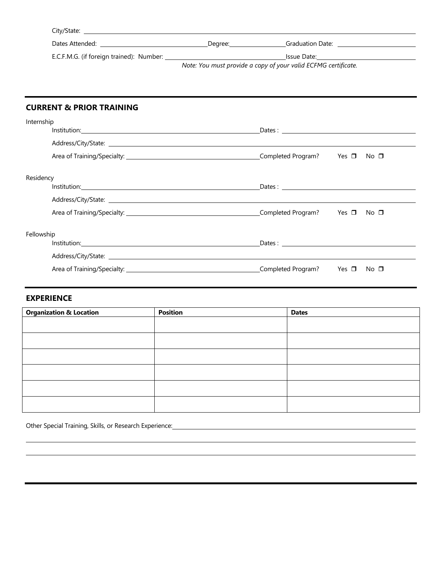| City/State:                              |         |                                                                |  |
|------------------------------------------|---------|----------------------------------------------------------------|--|
| Dates Attended:                          | Dearee: | <b>Graduation Date:</b>                                        |  |
| E.C.F.M.G. (if foreign trained): Number: |         | Issue Date:                                                    |  |
|                                          |         | Note: You must provide a copy of your valid ECFMG certificate. |  |

## **CURRENT & PRIOR TRAINING**

| Internship |  |                                                                                                                                                                                                                                |  |      |
|------------|--|--------------------------------------------------------------------------------------------------------------------------------------------------------------------------------------------------------------------------------|--|------|
|            |  |                                                                                                                                                                                                                                |  |      |
|            |  |                                                                                                                                                                                                                                |  |      |
|            |  |                                                                                                                                                                                                                                |  |      |
| Residency  |  |                                                                                                                                                                                                                                |  |      |
|            |  |                                                                                                                                                                                                                                |  |      |
|            |  |                                                                                                                                                                                                                                |  |      |
|            |  |                                                                                                                                                                                                                                |  |      |
| Fellowship |  |                                                                                                                                                                                                                                |  |      |
|            |  | Dates: the contract of the contract of the contract of the contract of the contract of the contract of the contract of the contract of the contract of the contract of the contract of the contract of the contract of the con |  |      |
|            |  |                                                                                                                                                                                                                                |  |      |
|            |  |                                                                                                                                                                                                                                |  | No ⊡ |

## **EXPERIENCE**

| <b>Organization &amp; Location</b> | <b>Position</b> | <b>Dates</b> |
|------------------------------------|-----------------|--------------|
|                                    |                 |              |
|                                    |                 |              |
|                                    |                 |              |
|                                    |                 |              |
|                                    |                 |              |
|                                    |                 |              |

Other Special Training, Skills, or Research Experience: Material Material Material Material Material Material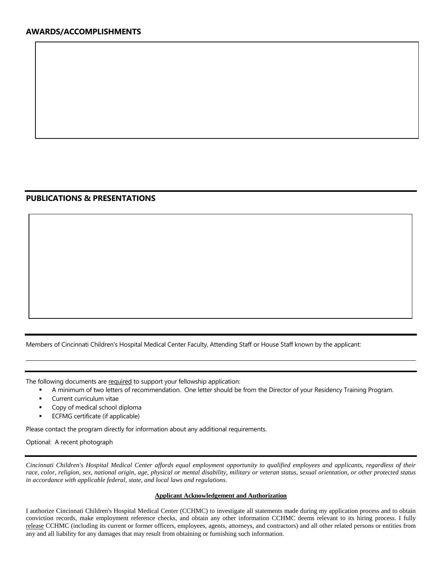### **PUBLICATIONS & PRESENTATIONS**

Members of Cincinnati Children's Hospital Medical Center Faculty, Attending Staff or House Staff known by the applicant:

The following documents are required to support your fellowship application:

- A minimum of two letters of recommendation. One letter should be from the Director of your Residency Training Program.
- Current curriculum vitae
- Copy of medical school diploma
- ECFMG certificate (if applicable)

Please contact the program directly for information about any additional requirements.

Optional: A recent photograph

*Cincinnati Children's Hospital Medical Center affords equal employment opportunity to qualified employees and applicants, regardless of their race, color, religion, sex, national origin, age, physical or mental disability, military or veteran status, sexual orientation, or other protected status in accordance with applicable federal, state, and local laws and regulations.*

#### **Applicant Acknowledgement and Authorization**

I authorize Cincinnati Children's Hospital Medical Center (CCHMC) to investigate all statements made during my application process and to obtain conviction records, make employment reference checks, and obtain any other information CCHMC deems relevant to its hiring process. I fully release CCHMC (including its current or former officers, employees, agents, attorneys, and contractors) and all other related persons or entities from any and all liability for any damages that may result from obtaining or furnishing such information.